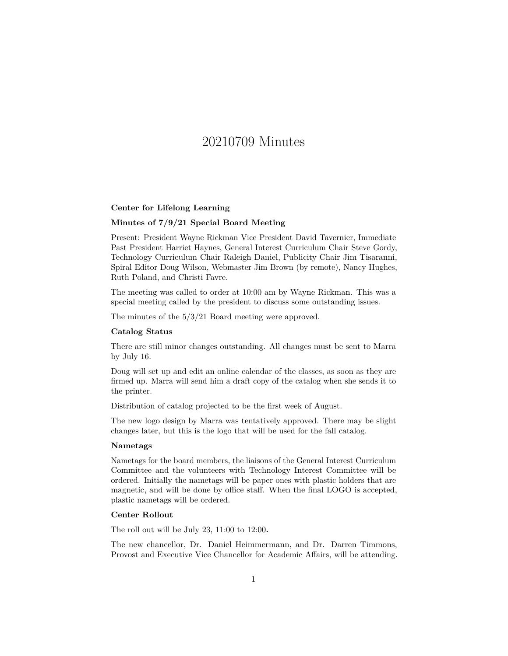# 20210709 Minutes

## **Center for Lifelong Learning**

# **Minutes of 7/9/21 Special Board Meeting**

Present: President Wayne Rickman Vice President David Tavernier, Immediate Past President Harriet Haynes, General Interest Curriculum Chair Steve Gordy, Technology Curriculum Chair Raleigh Daniel, Publicity Chair Jim Tisaranni, Spiral Editor Doug Wilson, Webmaster Jim Brown (by remote), Nancy Hughes, Ruth Poland, and Christi Favre.

The meeting was called to order at 10:00 am by Wayne Rickman. This was a special meeting called by the president to discuss some outstanding issues.

The minutes of the 5/3/21 Board meeting were approved.

## **Catalog Status**

There are still minor changes outstanding. All changes must be sent to Marra by July 16.

Doug will set up and edit an online calendar of the classes, as soon as they are firmed up. Marra will send him a draft copy of the catalog when she sends it to the printer.

Distribution of catalog projected to be the first week of August.

The new logo design by Marra was tentatively approved. There may be slight changes later, but this is the logo that will be used for the fall catalog.

#### **Nametags**

Nametags for the board members, the liaisons of the General Interest Curriculum Committee and the volunteers with Technology Interest Committee will be ordered. Initially the nametags will be paper ones with plastic holders that are magnetic, and will be done by office staff. When the final LOGO is accepted, plastic nametags will be ordered.

# **Center Rollout**

The roll out will be July 23, 11:00 to 12:00**.**

The new chancellor, Dr. Daniel Heimmermann, and Dr. Darren Timmons, Provost and Executive Vice Chancellor for Academic Affairs, will be attending.